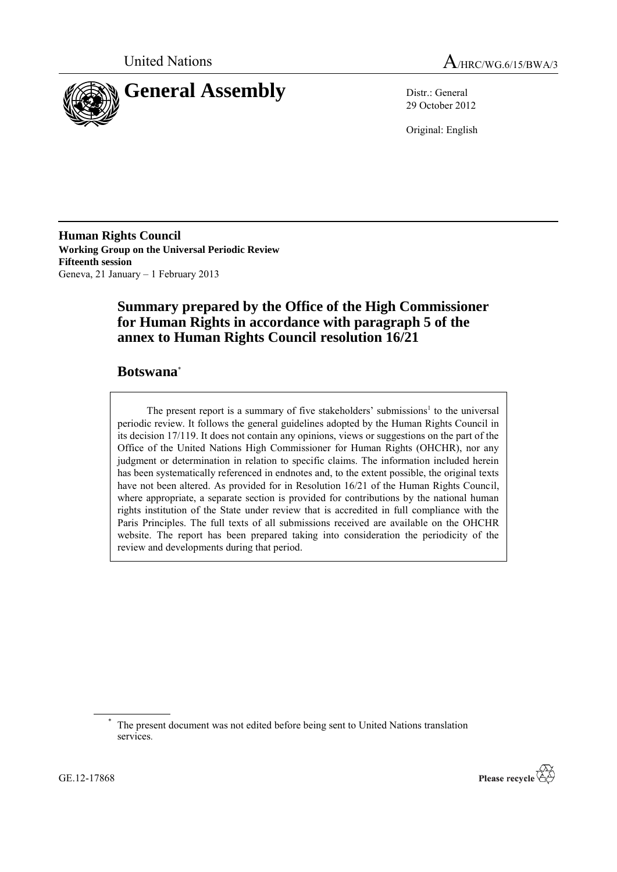



29 October 2012

Original: English

**Human Rights Council Working Group on the Universal Periodic Review Fifteenth session** Geneva, 21 January – 1 February 2013

# **Summary prepared by the Office of the High Commissioner for Human Rights in accordance with paragraph 5 of the annex to Human Rights Council resolution 16/21**

## **Botswana**\*

The present report is a summary of five stakeholders' submissions<sup>1</sup> to the universal periodic review. It follows the general guidelines adopted by the Human Rights Council in its decision 17/119. It does not contain any opinions, views or suggestions on the part of the Office of the United Nations High Commissioner for Human Rights (OHCHR), nor any judgment or determination in relation to specific claims. The information included herein has been systematically referenced in endnotes and, to the extent possible, the original texts have not been altered. As provided for in Resolution 16/21 of the Human Rights Council, where appropriate, a separate section is provided for contributions by the national human rights institution of the State under review that is accredited in full compliance with the Paris Principles. The full texts of all submissions received are available on the OHCHR website. The report has been prepared taking into consideration the periodicity of the review and developments during that period.



The present document was not edited before being sent to United Nations translation services.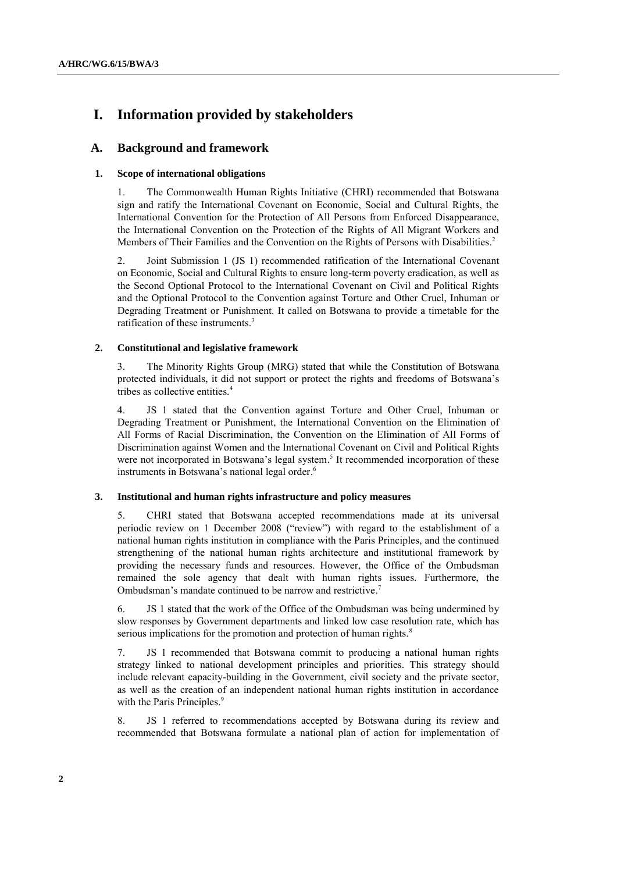# **I. Information provided by stakeholders**

## **A. Background and framework**

## **1. Scope of international obligations**

1. The Commonwealth Human Rights Initiative (CHRI) recommended that Botswana sign and ratify the International Covenant on Economic, Social and Cultural Rights, the International Convention for the Protection of All Persons from Enforced Disappearance, the [International Convention on the Protection of the Rights of All Migrant Workers and](http://www2.ohchr.org/english/law/cmw.htm)  [Members of Their Families](http://www2.ohchr.org/english/law/cmw.htm) and the [Convention on the Rights of Persons with Disabilities.](http://www2.ohchr.org/english/law/disabilities-convention.htm) 2

2. Joint Submission 1 (JS 1) recommended ratification of the International Covenant on Economic, Social and Cultural Rights to ensure long-term poverty eradication, as well as the Second Optional Protocol to the International Covenant on Civil and Political Rights and the Optional Protocol to the Convention against Torture and Other Cruel, Inhuman or Degrading Treatment or Punishment. It called on Botswana to provide a timetable for the ratification of these instruments.<sup>3</sup>

## **2. Constitutional and legislative framework**

3. The Minority Rights Group (MRG) stated that while the Constitution of Botswana protected individuals, it did not support or protect the rights and freedoms of Botswana's tribes as collective entities.<sup>4</sup>

4. JS 1 stated that the Convention against Torture and Other Cruel, Inhuman or Degrading Treatment or Punishment, the International Convention on the Elimination of All Forms of Racial Discrimination, the Convention on the Elimination of All Forms of Discrimination against Women and the International Covenant on Civil and Political Rights were not incorporated in Botswana's legal system.<sup>5</sup> It recommended incorporation of these instruments in Botswana's national legal order. 6

## **3. Institutional and human rights infrastructure and policy measures**

5. CHRI stated that Botswana accepted recommendations made at its universal periodic review on 1 December 2008 ("review") with regard to the establishment of a national human rights institution in compliance with the Paris Principles, and the continued strengthening of the national human rights architecture and institutional framework by providing the necessary funds and resources. However, the Office of the Ombudsman remained the sole agency that dealt with human rights issues. Furthermore, the Ombudsman's mandate continued to be narrow and restrictive.<sup>7</sup>

6. JS 1 stated that the work of the Office of the Ombudsman was being undermined by slow responses by Government departments and linked low case resolution rate, which has serious implications for the promotion and protection of human rights.<sup>8</sup>

7. JS 1 recommended that Botswana commit to producing a national human rights strategy linked to national development principles and priorities. This strategy should include relevant capacity-building in the Government, civil society and the private sector, as well as the creation of an independent national human rights institution in accordance with the Paris Principles.<sup>9</sup>

8. JS 1 referred to recommendations accepted by Botswana during its review and recommended that Botswana formulate a national plan of action for implementation of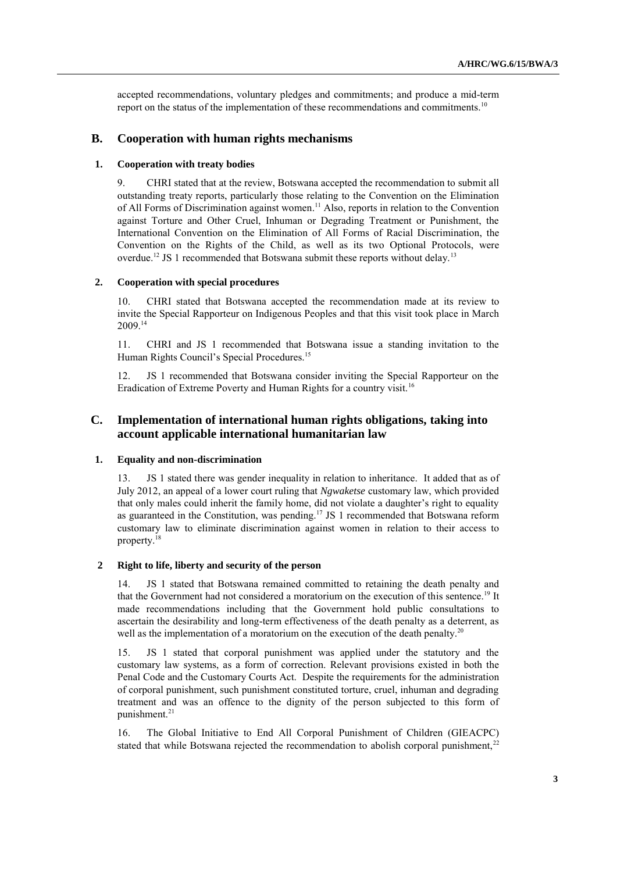accepted recommendations, voluntary pledges and commitments; and produce a mid-term report on the status of the implementation of these recommendations and commitments.<sup>10</sup>

## **B. Cooperation with human rights mechanisms**

## **1. Cooperation with treaty bodies**

9. CHRI stated that at the review, Botswana accepted the recommendation to submit all outstanding treaty reports, particularly those relating to the Convention on the Elimination of All Forms of Discrimination against women.<sup>11</sup> Also, reports in relation to the Convention against Torture and Other Cruel, Inhuman or Degrading Treatment or Punishment, the International Convention on the Elimination of All Forms of Racial Discrimination, the Convention on the Rights of the Child, as well as its two Optional Protocols, were overdue.<sup>12</sup> JS 1 recommended that Botswana submit these reports without delay.<sup>13</sup>

## **2. Cooperation with special procedures**

10. CHRI stated that Botswana accepted the recommendation made at its review to invite the Special Rapporteur on Indigenous Peoples and that this visit took place in March 2009.<sup>14</sup>

11. CHRI and JS 1 recommended that Botswana issue a standing invitation to the Human Rights Council's Special Procedures.<sup>15</sup>

12. JS 1 recommended that Botswana consider inviting the Special Rapporteur on the Eradication of Extreme Poverty and Human Rights for a country visit.<sup>16</sup>

## **C. Implementation of international human rights obligations, taking into account applicable international humanitarian law**

## **1. Equality and non-discrimination**

13. JS 1 stated there was gender inequality in relation to inheritance. It added that as of July 2012, an appeal of a lower court ruling that *Ngwaketse* customary law, which provided that only males could inherit the family home, did not violate a daughter's right to equality as guaranteed in the Constitution, was pending.<sup>17</sup> JS 1 recommended that Botswana reform customary law to eliminate discrimination against women in relation to their access to property.<sup>18</sup>

#### **2 Right to life, liberty and security of the person**

14. JS 1 stated that Botswana remained committed to retaining the death penalty and that the Government had not considered a moratorium on the execution of this sentence. <sup>19</sup> It made recommendations including that the Government hold public consultations to ascertain the desirability and long-term effectiveness of the death penalty as a deterrent, as well as the implementation of a moratorium on the execution of the death penalty.<sup>20</sup>

15. JS 1 stated that corporal punishment was applied under the statutory and the customary law systems, as a form of correction. Relevant provisions existed in both the Penal Code and the Customary Courts Act. Despite the requirements for the administration of corporal punishment, such punishment constituted torture, cruel, inhuman and degrading treatment and was an offence to the dignity of the person subjected to this form of punishment.<sup>21</sup>

16. The Global Initiative to End All Corporal Punishment of Children (GIEACPC) stated that while Botswana rejected the recommendation to abolish corporal punishment,<sup>22</sup>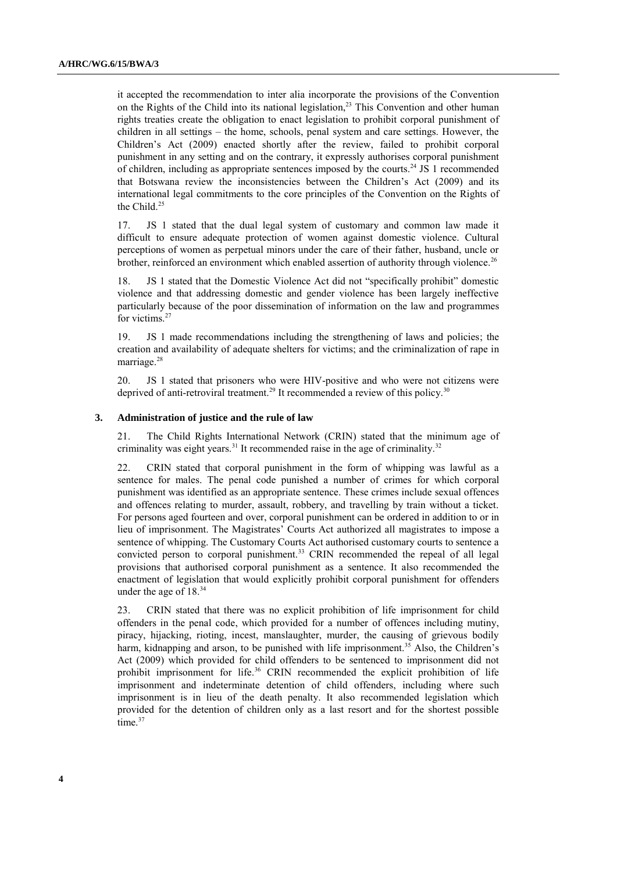it accepted the recommendation to inter alia incorporate the provisions of the Convention on the Rights of the Child into its national legislation,<sup>23</sup> This Convention and other human rights treaties create the obligation to enact legislation to prohibit corporal punishment of children in all settings – the home, schools, penal system and care settings. However, the Children's Act (2009) enacted shortly after the review, failed to prohibit corporal punishment in any setting and on the contrary, it expressly authorises corporal punishment of children, including as appropriate sentences imposed by the courts.<sup>24</sup> JS 1 recommended that Botswana review the inconsistencies between the Children's Act (2009) and its international legal commitments to the core principles of the Convention on the Rights of the Child.<sup>25</sup>

17. JS 1 stated that the dual legal system of customary and common law made it difficult to ensure adequate protection of women against domestic violence. Cultural perceptions of women as perpetual minors under the care of their father, husband, uncle or brother, reinforced an environment which enabled assertion of authority through violence.<sup>26</sup>

18. JS 1 stated that the Domestic Violence Act did not "specifically prohibit" domestic violence and that addressing domestic and gender violence has been largely ineffective particularly because of the poor dissemination of information on the law and programmes for victims.<sup>27</sup>

19. JS 1 made recommendations including the strengthening of laws and policies; the creation and availability of adequate shelters for victims; and the criminalization of rape in marriage.<sup>28</sup>

20. JS 1 stated that prisoners who were HIV-positive and who were not citizens were deprived of anti-retroviral treatment.<sup>29</sup> It recommended a review of this policy.<sup>30</sup>

#### **3. Administration of justice and the rule of law**

21. The Child Rights International Network (CRIN) stated that the minimum age of criminality was eight years.<sup>31</sup> It recommended raise in the age of criminality.<sup>32</sup>

22. CRIN stated that corporal punishment in the form of whipping was lawful as a sentence for males. The penal code punished a number of crimes for which corporal punishment was identified as an appropriate sentence. These crimes include sexual offences and offences relating to murder, assault, robbery, and travelling by train without a ticket. For persons aged fourteen and over, corporal punishment can be ordered in addition to or in lieu of imprisonment. The Magistrates' Courts Act authorized all magistrates to impose a sentence of whipping. The Customary Courts Act authorised customary courts to sentence a convicted person to corporal punishment.<sup>33</sup> CRIN recommended the repeal of all legal provisions that authorised corporal punishment as a sentence. It also recommended the enactment of legislation that would explicitly prohibit corporal punishment for offenders under the age of 18.<sup>34</sup>

23. CRIN stated that there was no explicit prohibition of life imprisonment for child offenders in the penal code, which provided for a number of offences including mutiny, piracy, hijacking, rioting, incest, manslaughter, murder, the causing of grievous bodily harm, kidnapping and arson, to be punished with life imprisonment.<sup>35</sup> Also, the Children's Act (2009) which provided for child offenders to be sentenced to imprisonment did not prohibit imprisonment for life.<sup>36</sup> CRIN recommended the explicit prohibition of life imprisonment and indeterminate detention of child offenders, including where such imprisonment is in lieu of the death penalty. It also recommended legislation which provided for the detention of children only as a last resort and for the shortest possible time.<sup>37</sup>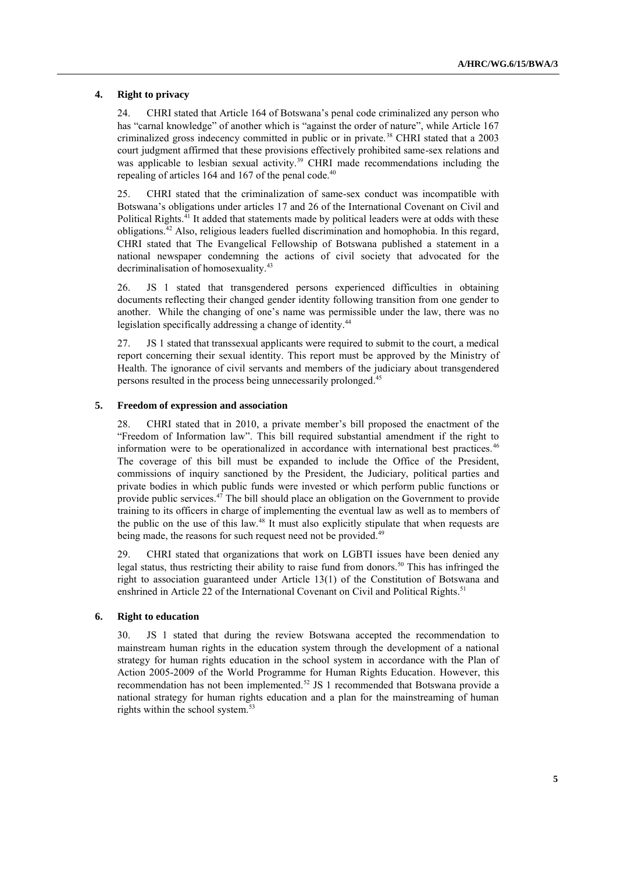### **4. Right to privacy**

24. CHRI stated that Article 164 of Botswana's penal code criminalized any person who has "carnal knowledge" of another which is "against the order of nature", while Article 167 criminalized gross indecency committed in public or in private.<sup>38</sup> CHRI stated that a 2003 court judgment affirmed that these provisions effectively prohibited same-sex relations and was applicable to lesbian sexual activity.<sup>39</sup> CHRI made recommendations including the repealing of articles 164 and 167 of the penal code. $40$ 

25. CHRI stated that the criminalization of same-sex conduct was incompatible with Botswana's obligations under articles 17 and 26 of the International Covenant on Civil and Political Rights.<sup>41</sup> It added that statements made by political leaders were at odds with these obligations.<sup>42</sup> Also, religious leaders fuelled discrimination and homophobia. In this regard, CHRI stated that The Evangelical Fellowship of Botswana published a statement in a national newspaper condemning the actions of civil society that advocated for the decriminalisation of homosexuality.<sup>43</sup>

26. JS 1 stated that transgendered persons experienced difficulties in obtaining documents reflecting their changed gender identity following transition from one gender to another. While the changing of one's name was permissible under the law, there was no legislation specifically addressing a change of identity.<sup>44</sup>

27. JS 1 stated that transsexual applicants were required to submit to the court, a medical report concerning their sexual identity. This report must be approved by the Ministry of Health. The ignorance of civil servants and members of the judiciary about transgendered persons resulted in the process being unnecessarily prolonged.<sup>45</sup>

## **5. Freedom of expression and association**

28. CHRI stated that in 2010, a private member's bill proposed the enactment of the "Freedom of Information law". This bill required substantial amendment if the right to information were to be operationalized in accordance with international best practices.<sup>46</sup> The coverage of this bill must be expanded to include the Office of the President, commissions of inquiry sanctioned by the President, the Judiciary, political parties and private bodies in which public funds were invested or which perform public functions or provide public services. $4^{7}$  The bill should place an obligation on the Government to provide training to its officers in charge of implementing the eventual law as well as to members of the public on the use of this law.<sup>48</sup> It must also explicitly stipulate that when requests are being made, the reasons for such request need not be provided.<sup>49</sup>

29. CHRI stated that organizations that work on LGBTI issues have been denied any legal status, thus restricting their ability to raise fund from donors.<sup>50</sup> This has infringed the right to association guaranteed under Article 13(1) of the Constitution of Botswana and enshrined in Article 22 of the International Covenant on Civil and Political Rights.<sup>51</sup>

### **6. Right to education**

30. JS 1 stated that during the review Botswana accepted the recommendation to mainstream human rights in the education system through the development of a national strategy for human rights education in the school system in accordance with the Plan of Action 2005-2009 of the World Programme for Human Rights Education. However, this recommendation has not been implemented.<sup>52</sup> JS 1 recommended that Botswana provide a national strategy for human rights education and a plan for the mainstreaming of human rights within the school system.<sup>53</sup>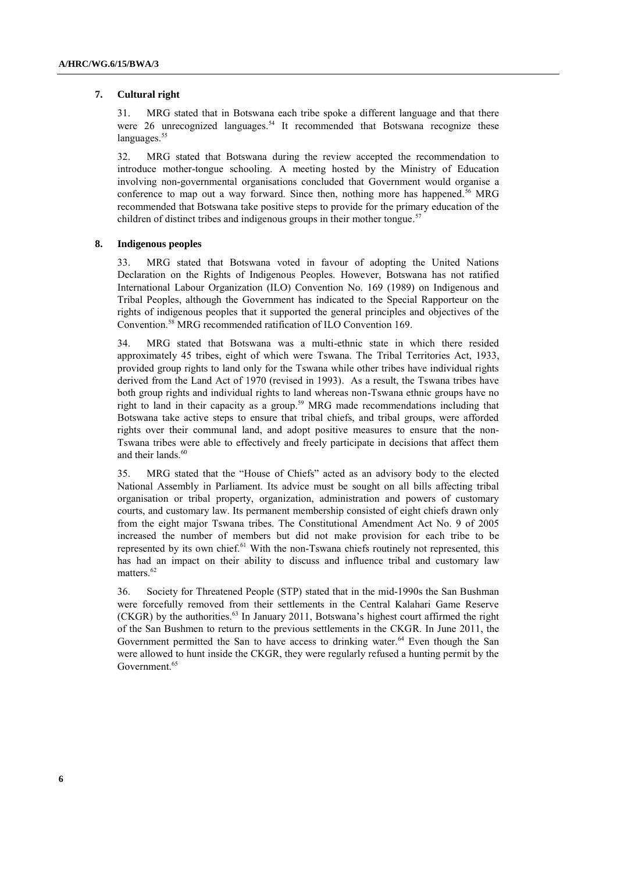#### **7. Cultural right**

31. MRG stated that in Botswana each tribe spoke a different language and that there were 26 unrecognized languages.<sup>54</sup> It recommended that Botswana recognize these languages.<sup>55</sup>

32. MRG stated that Botswana during the review accepted the recommendation to introduce mother-tongue schooling. A meeting hosted by the Ministry of Education involving non-governmental organisations concluded that Government would organise a conference to map out a way forward. Since then, nothing more has happened.<sup>56</sup> MRG recommended that Botswana take positive steps to provide for the primary education of the children of distinct tribes and indigenous groups in their mother tongue.<sup>57</sup>

## **8. Indigenous peoples**

33. MRG stated that Botswana voted in favour of adopting the United Nations Declaration on the Rights of Indigenous Peoples. However, Botswana has not ratified International Labour Organization (ILO) Convention No. 169 (1989) on Indigenous and Tribal Peoples, although the Government has indicated to the Special Rapporteur on the rights of indigenous peoples that it supported the general principles and objectives of the Convention.<sup>58</sup> MRG recommended ratification of ILO Convention 169.

34. MRG stated that Botswana was a multi-ethnic state in which there resided approximately 45 tribes, eight of which were Tswana. The Tribal Territories Act, 1933, provided group rights to land only for the Tswana while other tribes have individual rights derived from the Land Act of 1970 (revised in 1993). As a result, the Tswana tribes have both group rights and individual rights to land whereas non-Tswana ethnic groups have no right to land in their capacity as a group. <sup>59</sup> MRG made recommendations including that Botswana take active steps to ensure that tribal chiefs, and tribal groups, were afforded rights over their communal land, and adopt positive measures to ensure that the non-Tswana tribes were able to effectively and freely participate in decisions that affect them and their lands.<sup>60</sup>

35. MRG stated that the "House of Chiefs" acted as an advisory body to the elected National Assembly in Parliament. Its advice must be sought on all bills affecting tribal organisation or tribal property, organization, administration and powers of customary courts, and customary law. Its permanent membership consisted of eight chiefs drawn only from the eight major Tswana tribes. The Constitutional Amendment Act No. 9 of 2005 increased the number of members but did not make provision for each tribe to be represented by its own chief.<sup>61</sup> With the non-Tswana chiefs routinely not represented, this has had an impact on their ability to discuss and influence tribal and customary law matters.<sup>62</sup>

36. Society for Threatened People (STP) stated that in the mid-1990s the San Bushman were forcefully removed from their settlements in the Central Kalahari Game Reserve (CKGR) by the authorities.<sup>63</sup> In January 2011, Botswana's highest court affirmed the right of the San Bushmen to return to the previous settlements in the CKGR. In June 2011, the Government permitted the San to have access to drinking water.<sup>64</sup> Even though the San were allowed to hunt inside the CKGR, they were regularly refused a hunting permit by the Government.<sup>65</sup>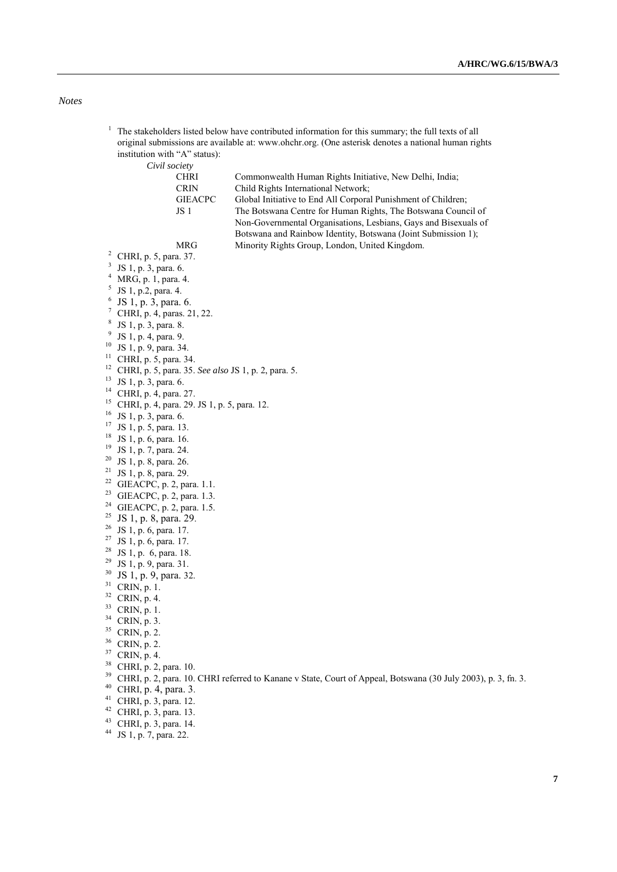## *Notes*

<sup>1</sup> The stakeholders listed below have contributed information for this summary; the full texts of all original submissions are available at: [www.ohchr.org.](http://www.ohchr.org/) (One asterisk denotes a national human rights institution with "A" status):

*Civil society*

| CHRI           | Commonwealth Human Rights Initiative, New Delhi, India;         |
|----------------|-----------------------------------------------------------------|
| CRIN           | Child Rights International Network;                             |
| <b>GIEACPC</b> | Global Initiative to End All Corporal Punishment of Children;   |
| JS 1           | The Botswana Centre for Human Rights, The Botswana Council of   |
|                | Non-Governmental Organisations, Lesbians, Gays and Bisexuals of |
|                | Botswana and Rainbow Identity, Botswana (Joint Submission 1);   |
| MRG            | Minority Rights Group, London, United Kingdom.                  |
|                |                                                                 |

- CHRI, p. 5, para. 37.
- <sup>3</sup> JS 1, p. 3, para. 6.
- MRG, p. 1, para. 4.
- JS 1, p.2, para. 4.
- JS 1, p. 3, para. 6.
- CHRI, p. 4, paras. 21, 22.
- JS 1, p. 3, para. 8.
- <sup>9</sup> JS 1, p. 4, para. 9.
- JS 1, p. 9, para. 34.
- CHRI, p. 5, para. 34.
- CHRI, p. 5, para. 35. *See also* JS 1, p. 2, para. 5.
- JS 1, p. 3, para. 6.
- CHRI, p. 4, para. 27.
- CHRI, p. 4, para. 29. JS 1, p. 5, para. 12.
- JS 1, p. 3, para. 6.
- JS 1, p. 5, para. 13.
- JS 1, p. 6, para. 16.
- JS 1, p. 7, para. 24.
- JS 1, p. 8, para. 26.
- <sup>21</sup> JS 1, p. 8, para. 29.
- GIEACPC, p. 2, para. 1.1.
- <sup>23</sup> GIEACPC, p. 2, para. 1.3.
- <sup>24</sup> GIEACPC, p. 2, para. 1.5.
- <sup>25</sup> JS 1, p. 8, para. 29.
- JS 1, p. 6, para. 17.
- 
- $27 \text{ JS } 1, \text{ p. } 6, \text{ para. } 17.$
- JS 1, p. 6, para. 18.
- JS 1, p. 9, para. 31.
- JS 1, p. 9, para. 32.
- CRIN, p. 1.
- CRIN, p. 4.
- CRIN, p. 1.
- CRIN, p. 3.
- CRIN, p. 2.
- CRIN, p. 2.
- CRIN, p. 4.
- CHRI, p. 2, para. 10.
- 
- <sup>39</sup> CHRI, p. 2, para. 10. CHRI referred to Kanane v State, Court of Appeal, Botswana (30 July 2003), p. 3, fn. 3.
- CHRI, p. 4, para. 3.
- CHRI, p. 3, para. 12.
- CHRI, p. 3, para. 13.
- CHRI, p. 3, para. 14.
- JS 1, p. 7, para. 22.